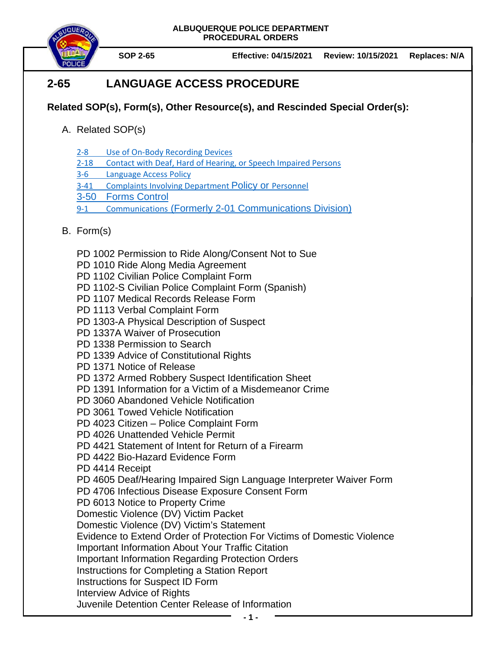

**SOP 2-65 Effective: 04/15/2021 Review: 10/15/2021 Replaces: N/A**

# **2-65 LANGUAGE ACCESS PROCEDURE**

## **Related SOP(s), Form(s), Other Resource(s), and Rescinded Special Order(s):**

- A. Related SOP(s)
	- 2-8 [Use of On-Body Recording Devices](https://powerdms.com/docs/1137)
	- 2-18 [Contact with Deaf, Hard of Hearing, or Speech Impaired Persons](https://powerdms.com/docs/89)
	- 3-6 [Language Access Policy](https://powerdms.com/docs/2205655)
	- 3-41 [Complaints Involving Department](https://powerdms.com/docs/184) Policy or Personnel
	- 3-50 [Forms Control](https://powerdms.com/docs/163)
	- 9-1 Communications [\(Formerly 2-01 Communications Division\)](https://powerdms.com/docs/324739)
- B. Form(s)
	- PD 1002 Permission to Ride Along/Consent Not to Sue
	- PD 1010 Ride Along Media Agreement
	- PD 1102 Civilian Police Complaint Form
	- PD 1102-S Civilian Police Complaint Form (Spanish)
	- PD 1107 Medical Records Release Form
	- PD 1113 Verbal Complaint Form
	- PD 1303-A Physical Description of Suspect
	- PD 1337A Waiver of Prosecution
	- PD 1338 Permission to Search
	- PD 1339 Advice of Constitutional Rights
	- PD 1371 Notice of Release
	- PD 1372 Armed Robbery Suspect Identification Sheet
	- PD 1391 Information for a Victim of a Misdemeanor Crime
	- PD 3060 Abandoned Vehicle Notification
	- PD 3061 Towed Vehicle Notification
	- PD 4023 Citizen Police Complaint Form
	- PD 4026 Unattended Vehicle Permit
	- PD 4421 Statement of Intent for Return of a Firearm
	- PD 4422 Bio-Hazard Evidence Form
	- PD 4414 Receipt

PD 4605 Deaf/Hearing Impaired Sign Language Interpreter Waiver Form

- PD 4706 Infectious Disease Exposure Consent Form
- PD 6013 Notice to Property Crime
- Domestic Violence (DV) Victim Packet
- Domestic Violence (DV) Victim's Statement
- Evidence to Extend Order of Protection For Victims of Domestic Violence
- Important Information About Your Traffic Citation
- Important Information Regarding Protection Orders
- Instructions for Completing a Station Report
- Instructions for Suspect ID Form
- Interview Advice of Rights
- Juvenile Detention Center Release of Information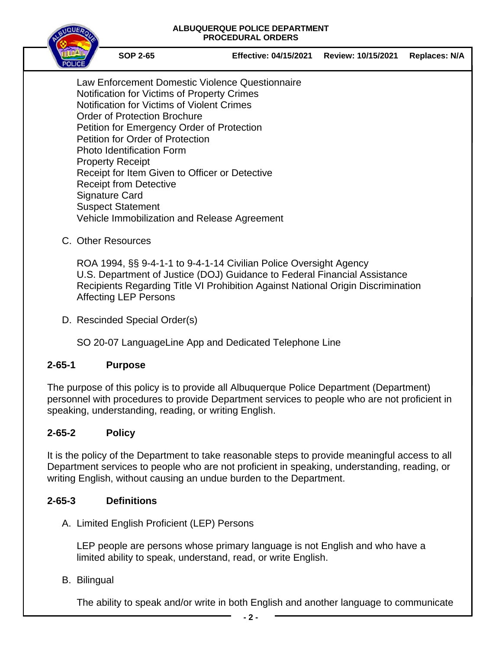

**SOP 2-65 Effective: 04/15/2021 Review: 10/15/2021 Replaces: N/A**

Law Enforcement Domestic Violence Questionnaire Notification for Victims of Property Crimes Notification for Victims of Violent Crimes Order of Protection Brochure Petition for Emergency Order of Protection Petition for Order of Protection Photo Identification Form Property Receipt Receipt for Item Given to Officer or Detective Receipt from Detective Signature Card Suspect Statement Vehicle Immobilization and Release Agreement

C. Other Resources

ROA 1994, §§ 9-4-1-1 to 9-4-1-14 Civilian Police Oversight Agency U.S. Department of Justice (DOJ) Guidance to Federal Financial Assistance Recipients Regarding Title VI Prohibition Against National Origin Discrimination Affecting LEP Persons

D. Rescinded Special Order(s)

SO 20-07 LanguageLine App and Dedicated Telephone Line

### **2-65-1 Purpose**

The purpose of this policy is to provide all Albuquerque Police Department (Department) personnel with procedures to provide Department services to people who are not proficient in speaking, understanding, reading, or writing English.

### **2-65-2 Policy**

It is the policy of the Department to take reasonable steps to provide meaningful access to all Department services to people who are not proficient in speaking, understanding, reading, or writing English, without causing an undue burden to the Department.

### **2-65-3 Definitions**

A. Limited English Proficient (LEP) Persons

LEP people are persons whose primary language is not English and who have a limited ability to speak, understand, read, or write English.

B. Bilingual

The ability to speak and/or write in both English and another language to communicate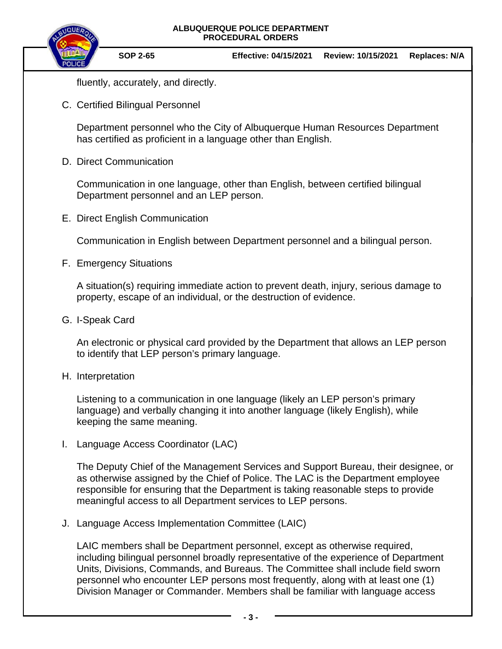

fluently, accurately, and directly.

C. Certified Bilingual Personnel

Department personnel who the City of Albuquerque Human Resources Department has certified as proficient in a language other than English.

D. Direct Communication

Communication in one language, other than English, between certified bilingual Department personnel and an LEP person.

E. Direct English Communication

Communication in English between Department personnel and a bilingual person.

F. Emergency Situations

A situation(s) requiring immediate action to prevent death, injury, serious damage to property, escape of an individual, or the destruction of evidence.

G. I-Speak Card

An electronic or physical card provided by the Department that allows an LEP person to identify that LEP person's primary language.

H. Interpretation

Listening to a communication in one language (likely an LEP person's primary language) and verbally changing it into another language (likely English), while keeping the same meaning.

I. Language Access Coordinator (LAC)

The Deputy Chief of the Management Services and Support Bureau, their designee, or as otherwise assigned by the Chief of Police. The LAC is the Department employee responsible for ensuring that the Department is taking reasonable steps to provide meaningful access to all Department services to LEP persons.

J. Language Access Implementation Committee (LAIC)

LAIC members shall be Department personnel, except as otherwise required, including bilingual personnel broadly representative of the experience of Department Units, Divisions, Commands, and Bureaus. The Committee shall include field sworn personnel who encounter LEP persons most frequently, along with at least one (1) Division Manager or Commander. Members shall be familiar with language access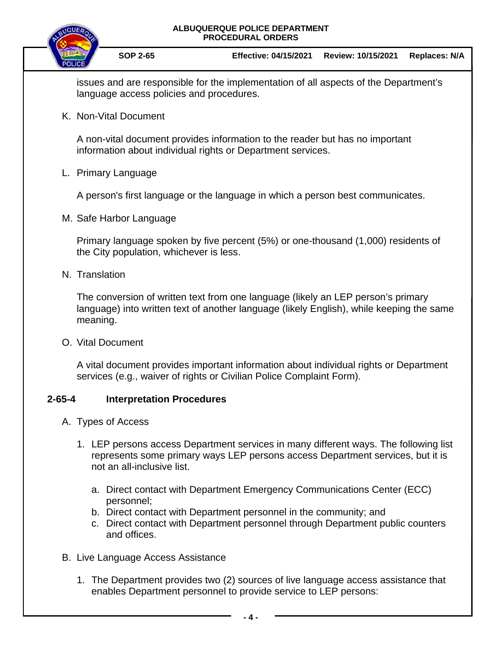

issues and are responsible for the implementation of all aspects of the Department's language access policies and procedures.

K. Non-Vital Document

A non-vital document provides information to the reader but has no important information about individual rights or Department services.

L. Primary Language

A person's first language or the language in which a person best communicates.

M. Safe Harbor Language

Primary language spoken by five percent (5%) or one-thousand (1,000) residents of the City population, whichever is less.

N. Translation

The conversion of written text from one language (likely an LEP person's primary language) into written text of another language (likely English), while keeping the same meaning.

O. Vital Document

A vital document provides important information about individual rights or Department services (e.g., waiver of rights or Civilian Police Complaint Form).

### **2-65-4 Interpretation Procedures**

- A. Types of Access
	- 1. LEP persons access Department services in many different ways. The following list represents some primary ways LEP persons access Department services, but it is not an all-inclusive list.
		- a. Direct contact with Department Emergency Communications Center (ECC) personnel;
		- b. Direct contact with Department personnel in the community; and
		- c. Direct contact with Department personnel through Department public counters and offices.
- B. Live Language Access Assistance
	- 1. The Department provides two (2) sources of live language access assistance that enables Department personnel to provide service to LEP persons: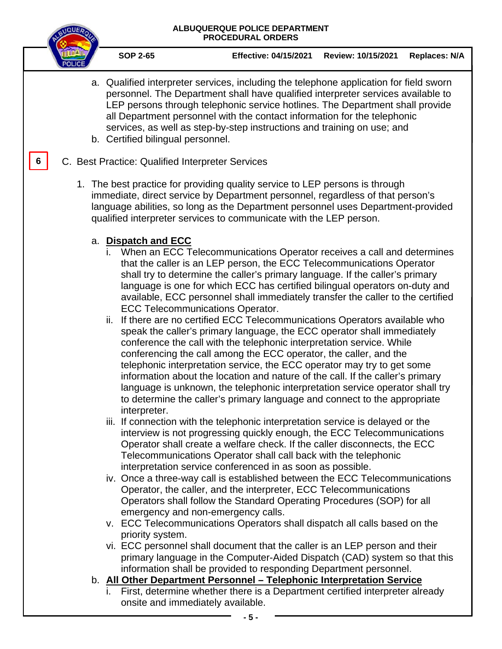

**6**

- **SOP 2-65 Effective: 04/15/2021 Review: 10/15/2021 Replaces: N/A**
- a. Qualified interpreter services, including the telephone application for field sworn personnel. The Department shall have qualified interpreter services available to LEP persons through telephonic service hotlines. The Department shall provide all Department personnel with the contact information for the telephonic services, as well as step-by-step instructions and training on use; and b. Certified bilingual personnel.
- C. Best Practice: Qualified Interpreter Services
	- 1. The best practice for providing quality service to LEP persons is through immediate, direct service by Department personnel, regardless of that person's language abilities, so long as the Department personnel uses Department-provided qualified interpreter services to communicate with the LEP person.

### a. **Dispatch and ECC**

- i. When an ECC Telecommunications Operator receives a call and determines that the caller is an LEP person, the ECC Telecommunications Operator shall try to determine the caller's primary language. If the caller's primary language is one for which ECC has certified bilingual operators on-duty and available, ECC personnel shall immediately transfer the caller to the certified ECC Telecommunications Operator.
- ii. If there are no certified ECC Telecommunications Operators available who speak the caller's primary language, the ECC operator shall immediately conference the call with the telephonic interpretation service. While conferencing the call among the ECC operator, the caller, and the telephonic interpretation service, the ECC operator may try to get some information about the location and nature of the call. If the caller's primary language is unknown, the telephonic interpretation service operator shall try to determine the caller's primary language and connect to the appropriate interpreter.
- iii. If connection with the telephonic interpretation service is delayed or the interview is not progressing quickly enough, the ECC Telecommunications Operator shall create a welfare check. If the caller disconnects, the ECC Telecommunications Operator shall call back with the telephonic interpretation service conferenced in as soon as possible.
- iv. Once a three-way call is established between the ECC Telecommunications Operator, the caller, and the interpreter, ECC Telecommunications Operators shall follow the Standard Operating Procedures (SOP) for all emergency and non-emergency calls.
- v. ECC Telecommunications Operators shall dispatch all calls based on the priority system.
- vi. ECC personnel shall document that the caller is an LEP person and their primary language in the Computer-Aided Dispatch (CAD) system so that this information shall be provided to responding Department personnel.
- b. **All Other Department Personnel – Telephonic Interpretation Service**
	- i. First, determine whether there is a Department certified interpreter already onsite and immediately available.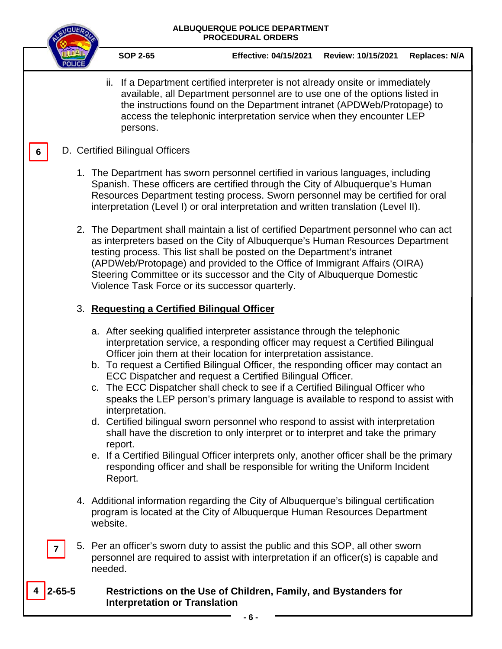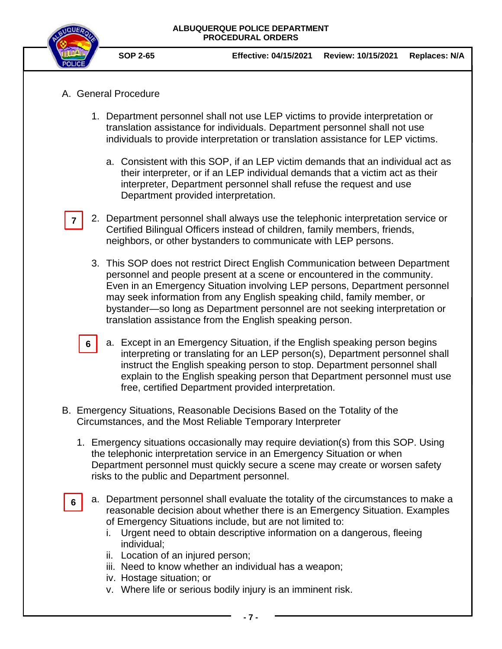

**7**

**6**

- **SOP 2-65 Effective: 04/15/2021 Review: 10/15/2021 Replaces: N/A**
- A. General Procedure
	- 1. Department personnel shall not use LEP victims to provide interpretation or translation assistance for individuals. Department personnel shall not use individuals to provide interpretation or translation assistance for LEP victims.
		- a. Consistent with this SOP, if an LEP victim demands that an individual act as their interpreter, or if an LEP individual demands that a victim act as their interpreter, Department personnel shall refuse the request and use Department provided interpretation.
	- 2. Department personnel shall always use the telephonic interpretation service or Certified Bilingual Officers instead of children, family members, friends, neighbors, or other bystanders to communicate with LEP persons.
		- 3. This SOP does not restrict Direct English Communication between Department personnel and people present at a scene or encountered in the community. Even in an Emergency Situation involving LEP persons, Department personnel may seek information from any English speaking child, family member, or bystander—so long as Department personnel are not seeking interpretation or translation assistance from the English speaking person.
	- a. Except in an Emergency Situation, if the English speaking person begins interpreting or translating for an LEP person(s), Department personnel shall instruct the English speaking person to stop. Department personnel shall explain to the English speaking person that Department personnel must use free, certified Department provided interpretation. **6**
- B. Emergency Situations, Reasonable Decisions Based on the Totality of the Circumstances, and the Most Reliable Temporary Interpreter
	- 1. Emergency situations occasionally may require deviation(s) from this SOP. Using the telephonic interpretation service in an Emergency Situation or when Department personnel must quickly secure a scene may create or worsen safety risks to the public and Department personnel.
		- a. Department personnel shall evaluate the totality of the circumstances to make a reasonable decision about whether there is an Emergency Situation. Examples of Emergency Situations include, but are not limited to:
			- i. Urgent need to obtain descriptive information on a dangerous, fleeing individual;
			- ii. Location of an injured person;
			- iii. Need to know whether an individual has a weapon;
			- iv. Hostage situation; or
			- v. Where life or serious bodily injury is an imminent risk.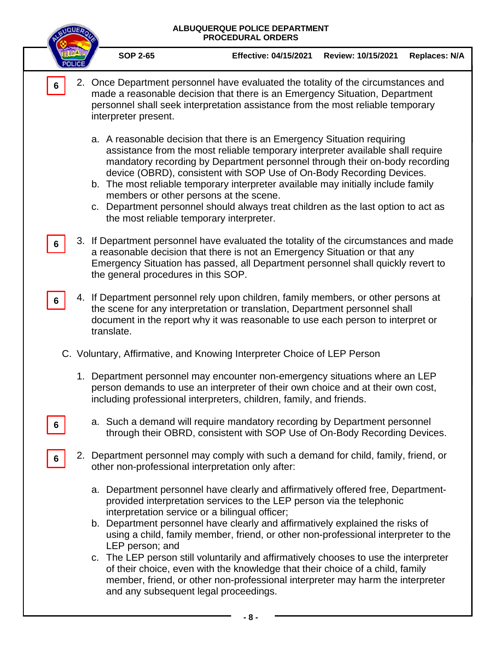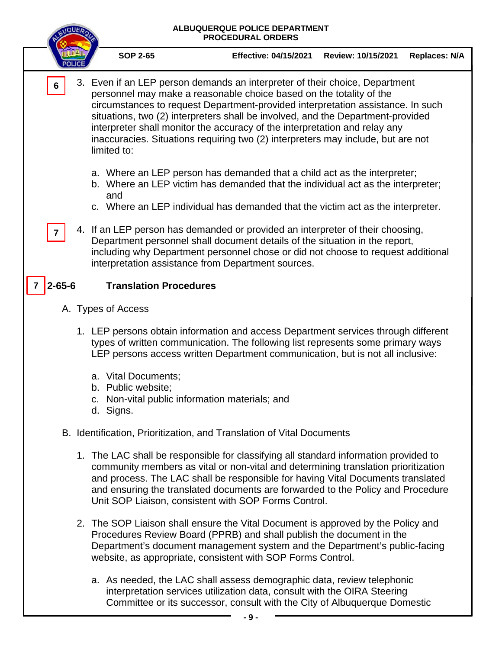

- c. Non-vital public information materials; and
- d. Signs.

B. Identification, Prioritization, and Translation of Vital Documents

- 1. The LAC shall be responsible for classifying all standard information provided to community members as vital or non-vital and determining translation prioritization and process. The LAC shall be responsible for having Vital Documents translated and ensuring the translated documents are forwarded to the Policy and Procedure Unit SOP Liaison, consistent with SOP Forms Control.
- 2. The SOP Liaison shall ensure the Vital Document is approved by the Policy and Procedures Review Board (PPRB) and shall publish the document in the Department's document management system and the Department's public-facing website, as appropriate, consistent with SOP Forms Control.
	- a. As needed, the LAC shall assess demographic data, review telephonic interpretation services utilization data, consult with the OIRA Steering Committee or its successor, consult with the City of Albuquerque Domestic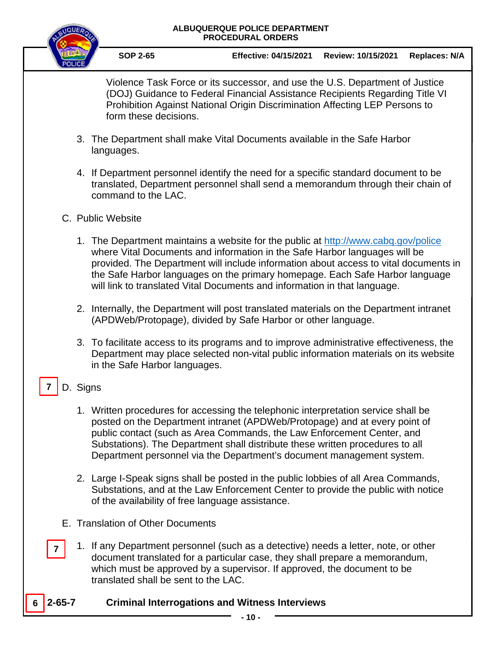

**SOP 2-65 Effective: 04/15/2021 Review: 10/15/2021 Replaces: N/A**

Violence Task Force or its successor, and use the U.S. Department of Justice (DOJ) Guidance to Federal Financial Assistance Recipients Regarding Title VI Prohibition Against National Origin Discrimination Affecting LEP Persons to form these decisions.

- 3. The Department shall make Vital Documents available in the Safe Harbor languages.
- 4. If Department personnel identify the need for a specific standard document to be translated, Department personnel shall send a memorandum through their chain of command to the LAC.
- C. Public Website
	- 1. The Department maintains a website for the public at<http://www.cabq.gov/police> where Vital Documents and information in the Safe Harbor languages will be provided. The Department will include information about access to vital documents in the Safe Harbor languages on the primary homepage. Each Safe Harbor language will link to translated Vital Documents and information in that language.
	- 2. Internally, the Department will post translated materials on the Department intranet (APDWeb/Protopage), divided by Safe Harbor or other language.
	- 3. To facilitate access to its programs and to improve administrative effectiveness, the Department may place selected non-vital public information materials on its website in the Safe Harbor languages.

#### D. Signs **7**

- 1. Written procedures for accessing the telephonic interpretation service shall be posted on the Department intranet (APDWeb/Protopage) and at every point of public contact (such as Area Commands, the Law Enforcement Center, and Substations). The Department shall distribute these written procedures to all Department personnel via the Department's document management system.
- 2. Large I-Speak signs shall be posted in the public lobbies of all Area Commands, Substations, and at the Law Enforcement Center to provide the public with notice of the availability of free language assistance.
- E. Translation of Other Documents
- 1. If any Department personnel (such as a detective) needs a letter, note, or other document translated for a particular case, they shall prepare a memorandum, which must be approved by a supervisor. If approved, the document to be translated shall be sent to the LAC. **7**
- **2-65-7 Criminal Interrogations and Witness Interviews 6**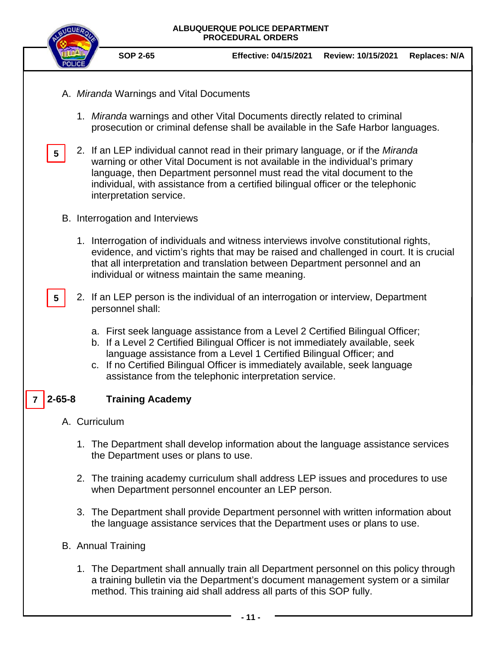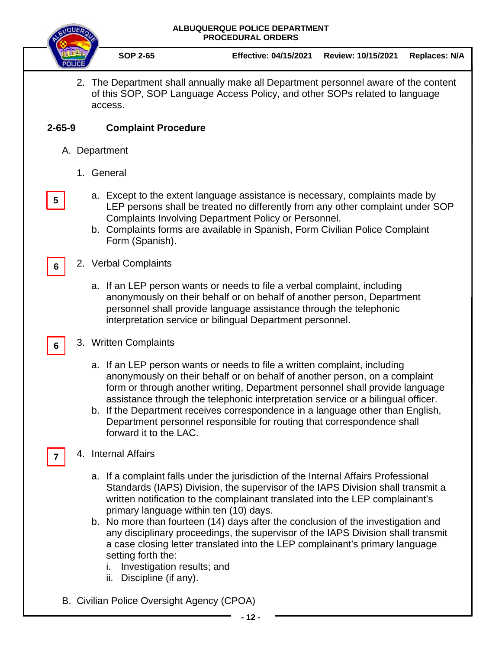

**5**

**6**

**6**

**7**

**SOP 2-65 Effective: 04/15/2021 Review: 10/15/2021 Replaces: N/A**

2. The Department shall annually make all Department personnel aware of the content of this SOP, SOP Language Access Policy, and other SOPs related to language access.

### **2-65-9 Complaint Procedure**

- A. Department
	- 1. General
		- a. Except to the extent language assistance is necessary, complaints made by LEP persons shall be treated no differently from any other complaint under SOP Complaints Involving Department Policy or Personnel.
		- b. Complaints forms are available in Spanish, Form Civilian Police Complaint Form (Spanish).
	- 2. Verbal Complaints
		- a. If an LEP person wants or needs to file a verbal complaint, including anonymously on their behalf or on behalf of another person, Department personnel shall provide language assistance through the telephonic interpretation service or bilingual Department personnel.
	- 3. Written Complaints
		- a. If an LEP person wants or needs to file a written complaint, including anonymously on their behalf or on behalf of another person, on a complaint form or through another writing, Department personnel shall provide language assistance through the telephonic interpretation service or a bilingual officer.
		- b. If the Department receives correspondence in a language other than English, Department personnel responsible for routing that correspondence shall forward it to the LAC.
	- 4. Internal Affairs
		- a. If a complaint falls under the jurisdiction of the Internal Affairs Professional Standards (IAPS) Division, the supervisor of the IAPS Division shall transmit a written notification to the complainant translated into the LEP complainant's primary language within ten (10) days.
		- b. No more than fourteen (14) days after the conclusion of the investigation and any disciplinary proceedings, the supervisor of the IAPS Division shall transmit a case closing letter translated into the LEP complainant's primary language setting forth the:
			- i. Investigation results; and
			- ii. Discipline (if any).
- B. Civilian Police Oversight Agency (CPOA)